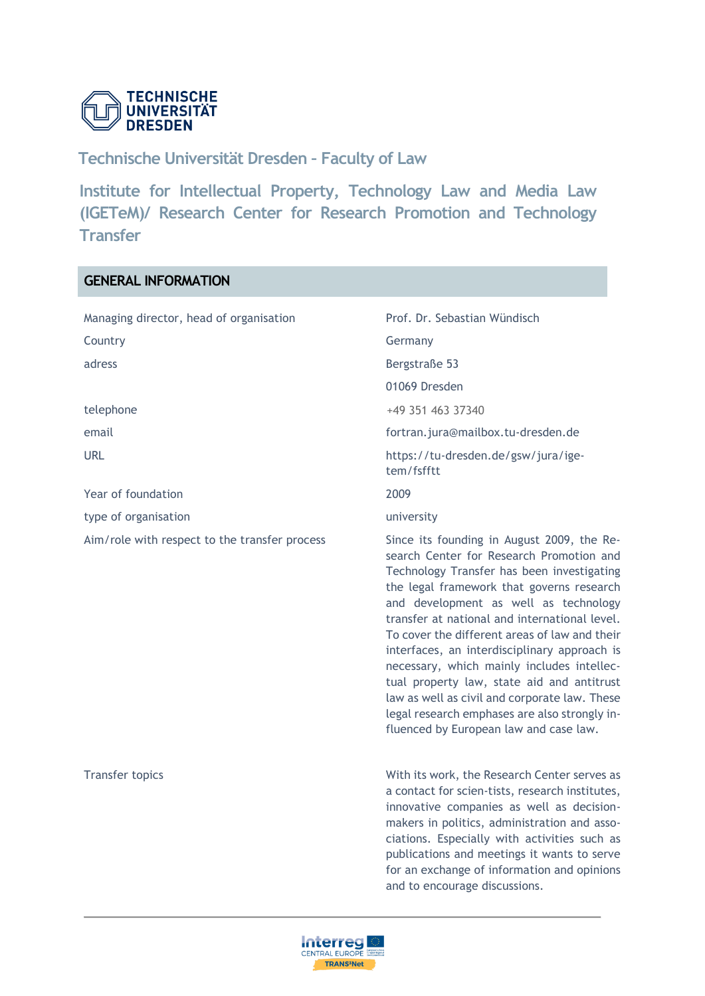

# **Technische Universität Dresden – Faculty of Law**

**Institute for Intellectual Property, Technology Law and Media Law (IGETeM)/ Research Center for Research Promotion and Technology Transfer** 

# **GENERAL INFORMATION**

| Managing director, head of organisation       | Prof. Dr. Sebastian Wündisch                                                                                                                                                                                                                                                                                                                                                                                                                                                                                                                                                                                         |
|-----------------------------------------------|----------------------------------------------------------------------------------------------------------------------------------------------------------------------------------------------------------------------------------------------------------------------------------------------------------------------------------------------------------------------------------------------------------------------------------------------------------------------------------------------------------------------------------------------------------------------------------------------------------------------|
| Country                                       | Germany                                                                                                                                                                                                                                                                                                                                                                                                                                                                                                                                                                                                              |
| adress                                        | Bergstraße 53                                                                                                                                                                                                                                                                                                                                                                                                                                                                                                                                                                                                        |
|                                               | 01069 Dresden                                                                                                                                                                                                                                                                                                                                                                                                                                                                                                                                                                                                        |
| telephone                                     | +49 351 463 37340                                                                                                                                                                                                                                                                                                                                                                                                                                                                                                                                                                                                    |
| email                                         | fortran.jura@mailbox.tu-dresden.de                                                                                                                                                                                                                                                                                                                                                                                                                                                                                                                                                                                   |
| <b>URL</b>                                    | https://tu-dresden.de/gsw/jura/ige-<br>tem/fsfftt                                                                                                                                                                                                                                                                                                                                                                                                                                                                                                                                                                    |
| Year of foundation                            | 2009                                                                                                                                                                                                                                                                                                                                                                                                                                                                                                                                                                                                                 |
| type of organisation                          | university                                                                                                                                                                                                                                                                                                                                                                                                                                                                                                                                                                                                           |
| Aim/role with respect to the transfer process | Since its founding in August 2009, the Re-<br>search Center for Research Promotion and<br>Technology Transfer has been investigating<br>the legal framework that governs research<br>and development as well as technology<br>transfer at national and international level.<br>To cover the different areas of law and their<br>interfaces, an interdisciplinary approach is<br>necessary, which mainly includes intellec-<br>tual property law, state aid and antitrust<br>law as well as civil and corporate law. These<br>legal research emphases are also strongly in-<br>fluenced by European law and case law. |
| <b>Transfer topics</b>                        | With its work, the Research Center serves as<br>a contact for scien-tists, research institutes,<br>innovative companies as well as decision-<br>makers in politics, administration and asso-<br>ciations. Especially with activities such as<br>publications and meetings it wants to serve<br>for an exchange of information and opinions<br>and to encourage discussions.                                                                                                                                                                                                                                          |